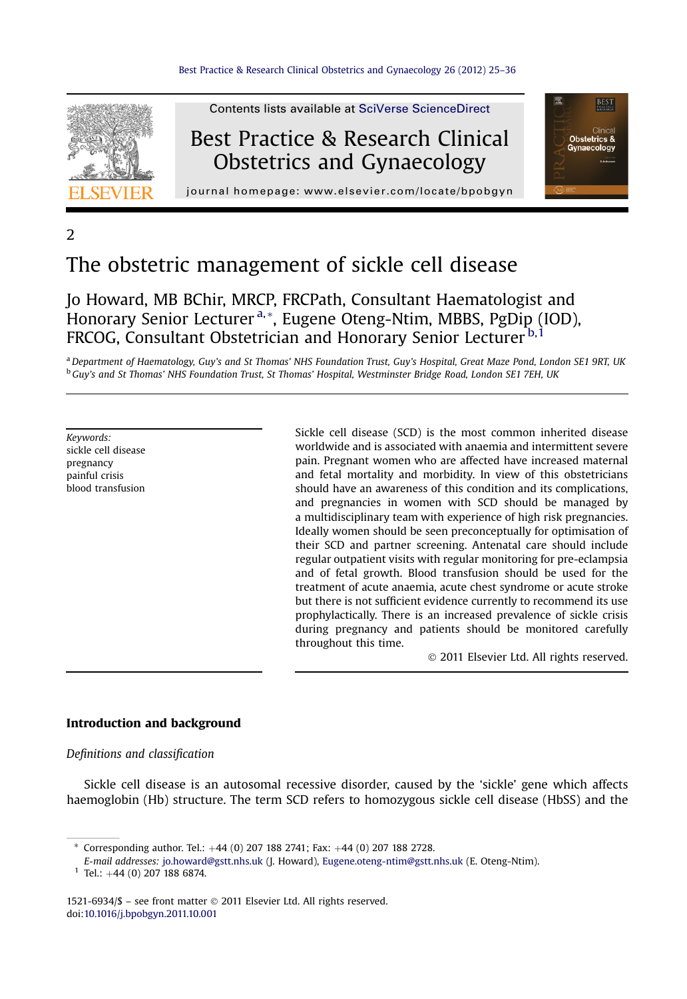

# The obstetric management of sickle cell disease

# Jo Howard, MB BChir, MRCP, FRCPath, Consultant Haematologist and Honorary Senior Lecturer<sup>a,\*</sup>, Eugene Oteng-Ntim, MBBS, PgDip (IOD), FRCOG, Consultant Obstetrician and Honorary Senior Lecturer<sup>b,1</sup>

a Department of Haematology, Guy's and St Thomas' NHS Foundation Trust, Guy's Hospital, Great Maze Pond, London SE1 9RT, UK <sup>b</sup> Guy's and St Thomas' NHS Foundation Trust, St Thomas' Hospital, Westminster Bridge Road, London SE1 7EH, UK

Keywords: sickle cell disease pregnancy painful crisis blood transfusion

 $\mathfrak{D}$ 

Sickle cell disease (SCD) is the most common inherited disease worldwide and is associated with anaemia and intermittent severe pain. Pregnant women who are affected have increased maternal and fetal mortality and morbidity. In view of this obstetricians should have an awareness of this condition and its complications, and pregnancies in women with SCD should be managed by a multidisciplinary team with experience of high risk pregnancies. Ideally women should be seen preconceptually for optimisation of their SCD and partner screening. Antenatal care should include regular outpatient visits with regular monitoring for pre-eclampsia and of fetal growth. Blood transfusion should be used for the treatment of acute anaemia, acute chest syndrome or acute stroke but there is not sufficient evidence currently to recommend its use prophylactically. There is an increased prevalence of sickle crisis during pregnancy and patients should be monitored carefully throughout this time.

2011 Elsevier Ltd. All rights reserved.

# Introduction and background

Definitions and classification

Sickle cell disease is an autosomal recessive disorder, caused by the 'sickle' gene which affects haemoglobin (Hb) structure. The term SCD refers to homozygous sickle cell disease (HbSS) and the

\* Corresponding author. Tel.:  $+44$  (0) 207 188 2741; Fax:  $+44$  (0) 207 188 2728.

E-mail addresses: [jo.howard@gstt.nhs.uk](mailto:jo.howard@gstt.nhs.uk) (J. Howard), [Eugene.oteng-ntim@gstt.nhs.uk](mailto:Eugene.oteng-ntim@gstt.nhs.uk) (E. Oteng-Ntim).

 $1$  Tel.:  $+44$  (0) 207 188 6874.

1521-6934/\$ – see front matter 2011 Elsevier Ltd. All rights reserved. doi[:10.1016/j.bpobgyn.2011.10.001](http://dx.doi.org/10.1016/j.bpobgyn.2011.10.001)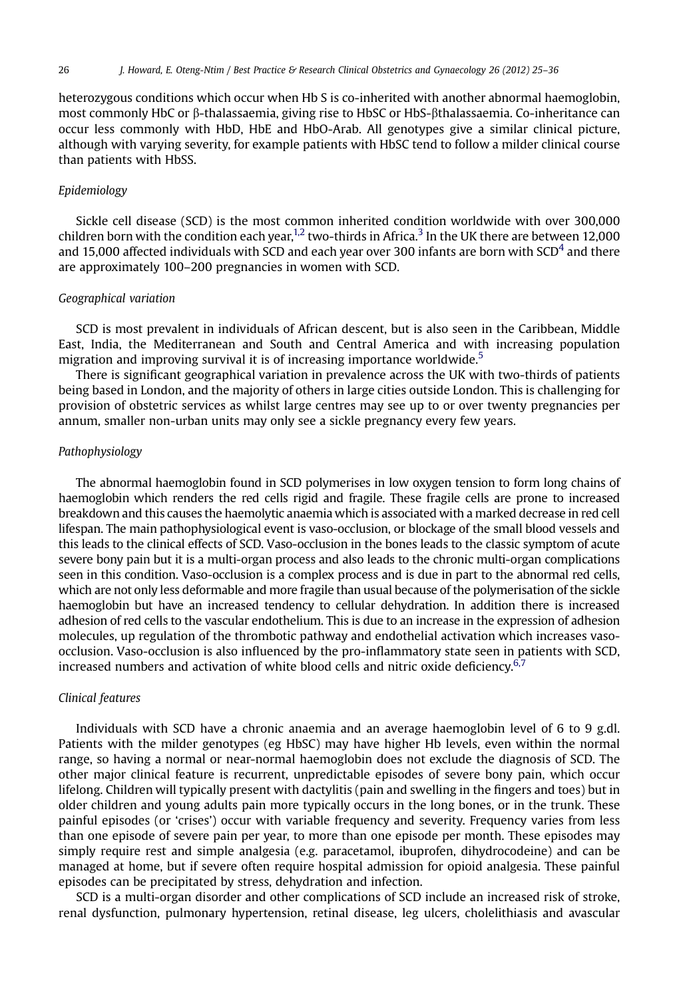heterozygous conditions which occur when Hb S is co-inherited with another abnormal haemoglobin, most commonly HbC or b-thalassaemia, giving rise to HbSC or HbS-bthalassaemia. Co-inheritance can occur less commonly with HbD, HbE and HbO-Arab. All genotypes give a similar clinical picture, although with varying severity, for example patients with HbSC tend to follow a milder clinical course than patients with HbSS.

# Epidemiology

Sickle cell disease (SCD) is the most common inherited condition worldwide with over 300,000 children born with the condition each year,<sup>1,2</sup> two-thirds in Africa.<sup>[3](#page-10-0)</sup> In the UK there are between 12,000 and 15,000 affected individuals with SCD and each year over 300 infants are born with  $SCD<sup>4</sup>$  $SCD<sup>4</sup>$  $SCD<sup>4</sup>$  and there are approximately 100–200 pregnancies in women with SCD.

#### Geographical variation

SCD is most prevalent in individuals of African descent, but is also seen in the Caribbean, Middle East, India, the Mediterranean and South and Central America and with increasing population migration and improving survival it is of increasing importance worldwide.<sup>[5](#page-10-0)</sup>

There is significant geographical variation in prevalence across the UK with two-thirds of patients being based in London, and the majority of others in large cities outside London. This is challenging for provision of obstetric services as whilst large centres may see up to or over twenty pregnancies per annum, smaller non-urban units may only see a sickle pregnancy every few years.

#### Pathophysiology

The abnormal haemoglobin found in SCD polymerises in low oxygen tension to form long chains of haemoglobin which renders the red cells rigid and fragile. These fragile cells are prone to increased breakdown and this causes the haemolytic anaemia which is associated with a marked decrease in red cell lifespan. The main pathophysiological event is vaso-occlusion, or blockage of the small blood vessels and this leads to the clinical effects of SCD. Vaso-occlusion in the bones leads to the classic symptom of acute severe bony pain but it is a multi-organ process and also leads to the chronic multi-organ complications seen in this condition. Vaso-occlusion is a complex process and is due in part to the abnormal red cells, which are not only less deformable and more fragile than usual because of the polymerisation of the sickle haemoglobin but have an increased tendency to cellular dehydration. In addition there is increased adhesion of red cells to the vascular endothelium. This is due to an increase in the expression of adhesion molecules, up regulation of the thrombotic pathway and endothelial activation which increases vasoocclusion. Vaso-occlusion is also influenced by the pro-inflammatory state seen in patients with SCD, increased numbers and activation of white blood cells and nitric oxide deficiency. $6,7$ 

#### Clinical features

Individuals with SCD have a chronic anaemia and an average haemoglobin level of 6 to 9 g.dl. Patients with the milder genotypes (eg HbSC) may have higher Hb levels, even within the normal range, so having a normal or near-normal haemoglobin does not exclude the diagnosis of SCD. The other major clinical feature is recurrent, unpredictable episodes of severe bony pain, which occur lifelong. Children will typically present with dactylitis (pain and swelling in the fingers and toes) but in older children and young adults pain more typically occurs in the long bones, or in the trunk. These painful episodes (or 'crises') occur with variable frequency and severity. Frequency varies from less than one episode of severe pain per year, to more than one episode per month. These episodes may simply require rest and simple analgesia (e.g. paracetamol, ibuprofen, dihydrocodeine) and can be managed at home, but if severe often require hospital admission for opioid analgesia. These painful episodes can be precipitated by stress, dehydration and infection.

SCD is a multi-organ disorder and other complications of SCD include an increased risk of stroke, renal dysfunction, pulmonary hypertension, retinal disease, leg ulcers, cholelithiasis and avascular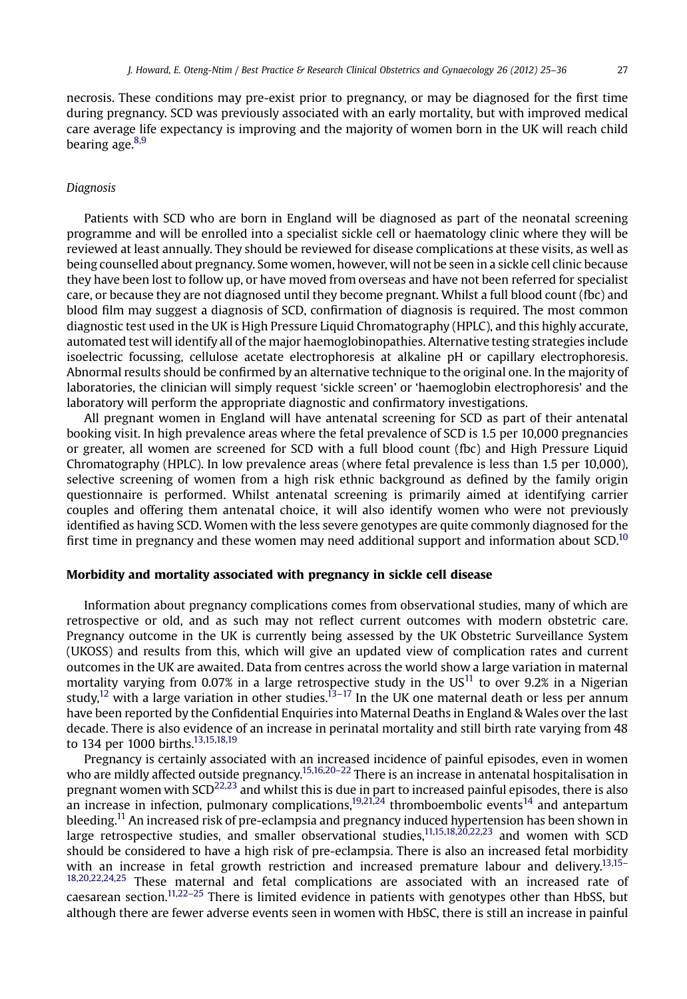necrosis. These conditions may pre-exist prior to pregnancy, or may be diagnosed for the first time during pregnancy. SCD was previously associated with an early mortality, but with improved medical care average life expectancy is improving and the majority of women born in the UK will reach child bearing age. $8,9$ 

# Diagnosis

Patients with SCD who are born in England will be diagnosed as part of the neonatal screening programme and will be enrolled into a specialist sickle cell or haematology clinic where they will be reviewed at least annually. They should be reviewed for disease complications at these visits, as well as being counselled about pregnancy. Some women, however, will not be seen in a sickle cell clinic because they have been lost to follow up, or have moved from overseas and have not been referred for specialist care, or because they are not diagnosed until they become pregnant. Whilst a full blood count (fbc) and blood film may suggest a diagnosis of SCD, confirmation of diagnosis is required. The most common diagnostic test used in the UK is High Pressure Liquid Chromatography (HPLC), and this highly accurate, automated test will identify all of the major haemoglobinopathies. Alternative testing strategies include isoelectric focussing, cellulose acetate electrophoresis at alkaline pH or capillary electrophoresis. Abnormal results should be confirmed by an alternative technique to the original one. In the majority of laboratories, the clinician will simply request 'sickle screen' or 'haemoglobin electrophoresis' and the laboratory will perform the appropriate diagnostic and confirmatory investigations.

All pregnant women in England will have antenatal screening for SCD as part of their antenatal booking visit. In high prevalence areas where the fetal prevalence of SCD is 1.5 per 10,000 pregnancies or greater, all women are screened for SCD with a full blood count (fbc) and High Pressure Liquid Chromatography (HPLC). In low prevalence areas (where fetal prevalence is less than 1.5 per 10,000), selective screening of women from a high risk ethnic background as defined by the family origin questionnaire is performed. Whilst antenatal screening is primarily aimed at identifying carrier couples and offering them antenatal choice, it will also identify women who were not previously identified as having SCD. Women with the less severe genotypes are quite commonly diagnosed for the first time in pregnancy and these women may need additional support and information about  $SCD<sup>10</sup>$  $SCD<sup>10</sup>$  $SCD<sup>10</sup>$ 

# Morbidity and mortality associated with pregnancy in sickle cell disease

Information about pregnancy complications comes from observational studies, many of which are retrospective or old, and as such may not reflect current outcomes with modern obstetric care. Pregnancy outcome in the UK is currently being assessed by the UK Obstetric Surveillance System (UKOSS) and results from this, which will give an updated view of complication rates and current outcomes in the UK are awaited. Data from centres across the world show a large variation in maternal mortality varying from 0.07% in a large retrospective study in the  $US<sup>11</sup>$  $US<sup>11</sup>$  $US<sup>11</sup>$  to over 9.2% in a Nigerian study,<sup>[12](#page-10-0)</sup> with a large variation in other studies.<sup>13–17</sup> In the UK one maternal death or less per annum have been reported by the Confidential Enquiries into Maternal Deaths in England & Wales over the last decade. There is also evidence of an increase in perinatal mortality and still birth rate varying from 48 to 134 per 1000 births.<sup>13,15,18,19</sup>

Pregnancy is certainly associated with an increased incidence of painful episodes, even in women who are mildly affected outside pregnancy.<sup>15,16,20-22</sup> There is an increase in antenatal hospitalisation in pregnant women with SCD<sup>[22,23](#page-10-0)</sup> and whilst this is due in part to increased painful episodes, there is also an increase in infection, pulmonary complications,<sup>[19,21,24](#page-10-0)</sup> thromboembolic events<sup>[14](#page-10-0)</sup> and antepartum bleeding.<sup>[11](#page-10-0)</sup> An increased risk of pre-eclampsia and pregnancy induced hypertension has been shown in large retrospective studies, and smaller observational studies.<sup>11,15,18,20,22,23</sup> and women with SCD should be considered to have a high risk of pre-eclampsia. There is also an increased fetal morbidity with an increase in fetal growth restriction and increased premature labour and delivery.<sup>13,15–</sup> [18,20,22,24,25](#page-10-0) These maternal and fetal complications are associated with an increased rate of caesarean section.<sup>11,22–25</sup> There is limited evidence in patients with genotypes other than HbSS, but although there are fewer adverse events seen in women with HbSC, there is still an increase in painful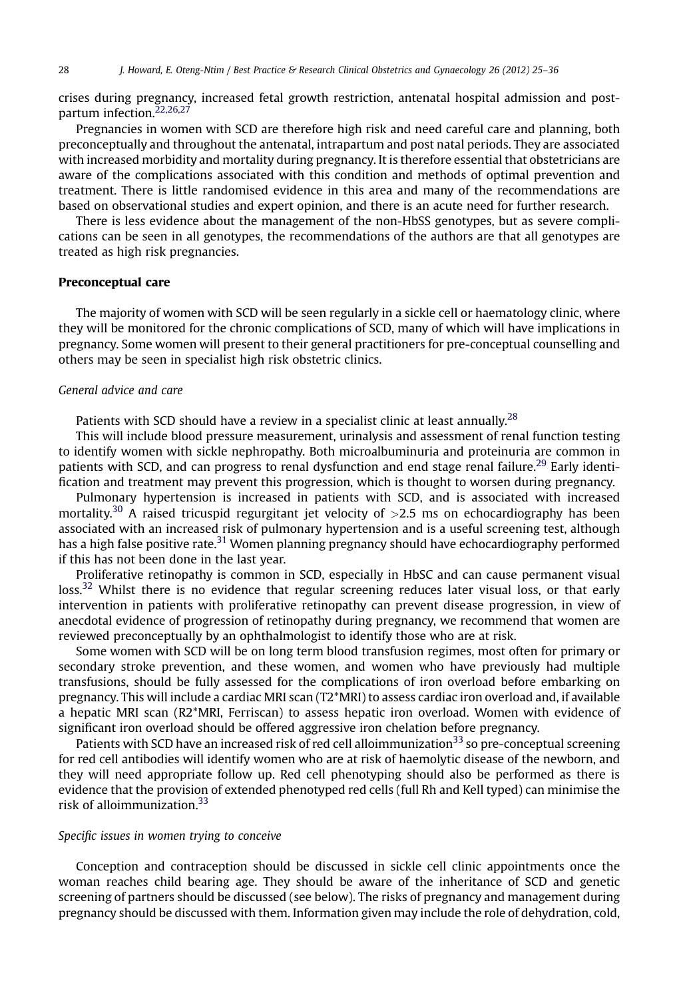crises during pregnancy, increased fetal growth restriction, antenatal hospital admission and post-partum infection.<sup>[22,26,27](#page-10-0)</sup>

Pregnancies in women with SCD are therefore high risk and need careful care and planning, both preconceptually and throughout the antenatal, intrapartum and post natal periods. They are associated with increased morbidity and mortality during pregnancy. It is therefore essential that obstetricians are aware of the complications associated with this condition and methods of optimal prevention and treatment. There is little randomised evidence in this area and many of the recommendations are based on observational studies and expert opinion, and there is an acute need for further research.

There is less evidence about the management of the non-HbSS genotypes, but as severe complications can be seen in all genotypes, the recommendations of the authors are that all genotypes are treated as high risk pregnancies.

# Preconceptual care

The majority of women with SCD will be seen regularly in a sickle cell or haematology clinic, where they will be monitored for the chronic complications of SCD, many of which will have implications in pregnancy. Some women will present to their general practitioners for pre-conceptual counselling and others may be seen in specialist high risk obstetric clinics.

# General advice and care

Patients with SCD should have a review in a specialist clinic at least annually.<sup>[28](#page-10-0)</sup>

This will include blood pressure measurement, urinalysis and assessment of renal function testing to identify women with sickle nephropathy. Both microalbuminuria and proteinuria are common in patients with SCD, and can progress to renal dysfunction and end stage renal failure.<sup>[29](#page-10-0)</sup> Early identification and treatment may prevent this progression, which is thought to worsen during pregnancy.

Pulmonary hypertension is increased in patients with SCD, and is associated with increased mortality.<sup>[30](#page-11-0)</sup> A raised tricuspid regurgitant jet velocity of  $>2.5$  ms on echocardiography has been associated with an increased risk of pulmonary hypertension and is a useful screening test, although has a high false positive rate.<sup>[31](#page-11-0)</sup> Women planning pregnancy should have echocardiography performed if this has not been done in the last year.

Proliferative retinopathy is common in SCD, especially in HbSC and can cause permanent visual  $loss<sup>32</sup>$  $loss<sup>32</sup>$  $loss<sup>32</sup>$  Whilst there is no evidence that regular screening reduces later visual loss, or that early intervention in patients with proliferative retinopathy can prevent disease progression, in view of anecdotal evidence of progression of retinopathy during pregnancy, we recommend that women are reviewed preconceptually by an ophthalmologist to identify those who are at risk.

Some women with SCD will be on long term blood transfusion regimes, most often for primary or secondary stroke prevention, and these women, and women who have previously had multiple transfusions, should be fully assessed for the complications of iron overload before embarking on pregnancy. This will include a cardiac MRI scan (T2\*MRI) to assess cardiac iron overload and, if available a hepatic MRI scan (R2\*MRI, Ferriscan) to assess hepatic iron overload. Women with evidence of significant iron overload should be offered aggressive iron chelation before pregnancy.

Patients with SCD have an increased risk of red cell alloimmunization<sup>[33](#page-11-0)</sup> so pre-conceptual screening for red cell antibodies will identify women who are at risk of haemolytic disease of the newborn, and they will need appropriate follow up. Red cell phenotyping should also be performed as there is evidence that the provision of extended phenotyped red cells (full Rh and Kell typed) can minimise the risk of alloimmunization[.33](#page-11-0)

#### Specific issues in women trying to conceive

Conception and contraception should be discussed in sickle cell clinic appointments once the woman reaches child bearing age. They should be aware of the inheritance of SCD and genetic screening of partners should be discussed (see below). The risks of pregnancy and management during pregnancy should be discussed with them. Information given may include the role of dehydration, cold,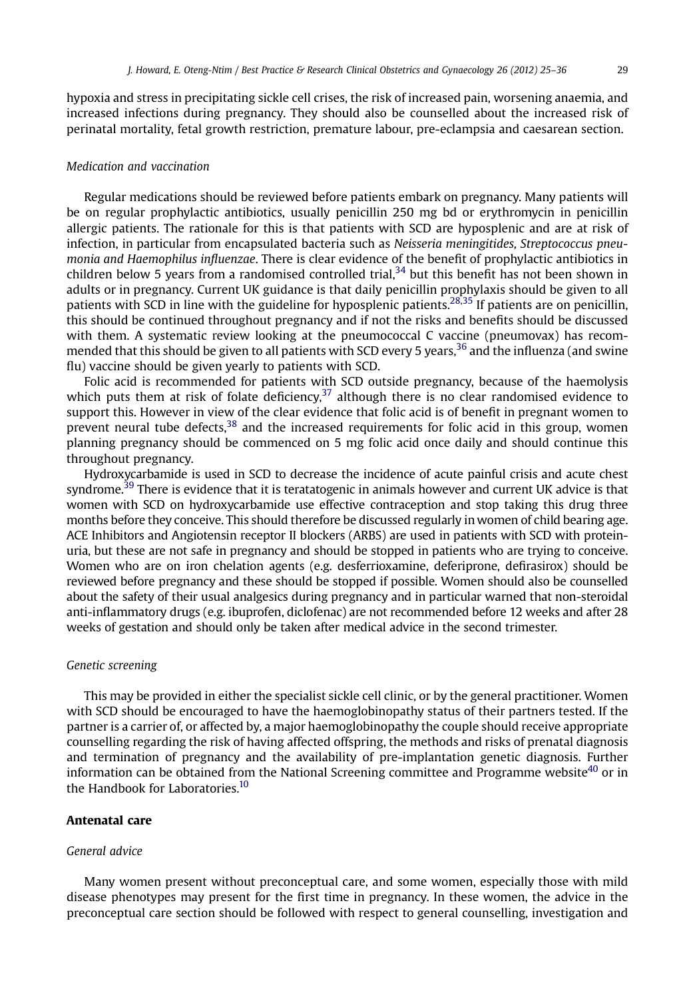hypoxia and stress in precipitating sickle cell crises, the risk of increased pain, worsening anaemia, and increased infections during pregnancy. They should also be counselled about the increased risk of perinatal mortality, fetal growth restriction, premature labour, pre-eclampsia and caesarean section.

# Medication and vaccination

Regular medications should be reviewed before patients embark on pregnancy. Many patients will be on regular prophylactic antibiotics, usually penicillin 250 mg bd or erythromycin in penicillin allergic patients. The rationale for this is that patients with SCD are hyposplenic and are at risk of infection, in particular from encapsulated bacteria such as Neisseria meningitides, Streptococcus pneumonia and Haemophilus influenzae. There is clear evidence of the benefit of prophylactic antibiotics in children below 5 years from a randomised controlled trial, $34$  but this benefit has not been shown in adults or in pregnancy. Current UK guidance is that daily penicillin prophylaxis should be given to all patients with SCD in line with the guideline for hyposplenic patients.<sup>[28,35](#page-10-0)</sup> If patients are on penicillin, this should be continued throughout pregnancy and if not the risks and benefits should be discussed with them. A systematic review looking at the pneumococcal C vaccine (pneumovax) has recom-mended that this should be given to all patients with SCD every 5 years,<sup>[36](#page-11-0)</sup> and the influenza (and swine flu) vaccine should be given yearly to patients with SCD.

Folic acid is recommended for patients with SCD outside pregnancy, because of the haemolysis which puts them at risk of folate deficiency, $37$  although there is no clear randomised evidence to support this. However in view of the clear evidence that folic acid is of benefit in pregnant women to prevent neural tube defects, $38$  and the increased requirements for folic acid in this group, women planning pregnancy should be commenced on 5 mg folic acid once daily and should continue this throughout pregnancy.

Hydroxycarbamide is used in SCD to decrease the incidence of acute painful crisis and acute chest syndrome.<sup>39</sup> There is evidence that it is teratatogenic in animals however and current UK advice is that women with SCD on hydroxycarbamide use effective contraception and stop taking this drug three months before they conceive. This should therefore be discussed regularly in women of child bearing age. ACE Inhibitors and Angiotensin receptor II blockers (ARBS) are used in patients with SCD with proteinuria, but these are not safe in pregnancy and should be stopped in patients who are trying to conceive. Women who are on iron chelation agents (e.g. desferrioxamine, deferiprone, defirasirox) should be reviewed before pregnancy and these should be stopped if possible. Women should also be counselled about the safety of their usual analgesics during pregnancy and in particular warned that non-steroidal anti-inflammatory drugs (e.g. ibuprofen, diclofenac) are not recommended before 12 weeks and after 28 weeks of gestation and should only be taken after medical advice in the second trimester.

# Genetic screening

This may be provided in either the specialist sickle cell clinic, or by the general practitioner. Women with SCD should be encouraged to have the haemoglobinopathy status of their partners tested. If the partner is a carrier of, or affected by, a major haemoglobinopathy the couple should receive appropriate counselling regarding the risk of having affected offspring, the methods and risks of prenatal diagnosis and termination of pregnancy and the availability of pre-implantation genetic diagnosis. Further information can be obtained from the National Screening committee and Programme website<sup>40</sup> or in the Handbook for Laboratories.<sup>10</sup>

# Antenatal care

#### General advice

Many women present without preconceptual care, and some women, especially those with mild disease phenotypes may present for the first time in pregnancy. In these women, the advice in the preconceptual care section should be followed with respect to general counselling, investigation and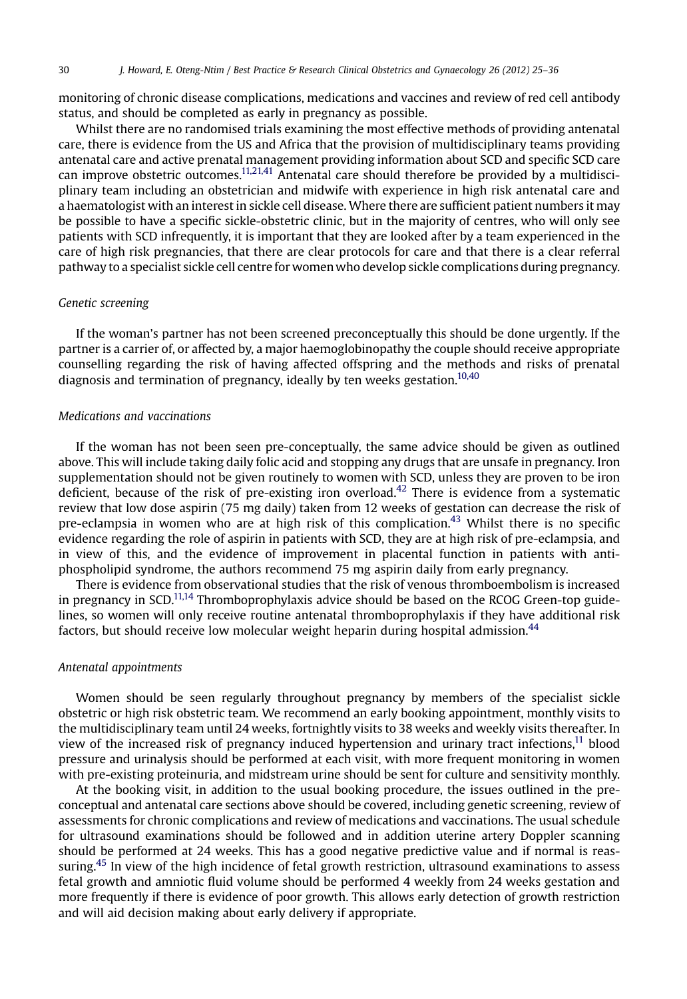monitoring of chronic disease complications, medications and vaccines and review of red cell antibody status, and should be completed as early in pregnancy as possible.

Whilst there are no randomised trials examining the most effective methods of providing antenatal care, there is evidence from the US and Africa that the provision of multidisciplinary teams providing antenatal care and active prenatal management providing information about SCD and specific SCD care can improve obstetric outcomes.<sup>[11,21,41](#page-10-0)</sup> Antenatal care should therefore be provided by a multidisciplinary team including an obstetrician and midwife with experience in high risk antenatal care and a haematologist with an interest in sickle cell disease. Where there are sufficient patient numbers it may be possible to have a specific sickle-obstetric clinic, but in the majority of centres, who will only see patients with SCD infrequently, it is important that they are looked after by a team experienced in the care of high risk pregnancies, that there are clear protocols for care and that there is a clear referral pathway to a specialist sickle cell centre for womenwho develop sickle complications during pregnancy.

# Genetic screening

If the woman's partner has not been screened preconceptually this should be done urgently. If the partner is a carrier of, or affected by, a major haemoglobinopathy the couple should receive appropriate counselling regarding the risk of having affected offspring and the methods and risks of prenatal diagnosis and termination of pregnancy, ideally by ten weeks gestation.<sup>[10,40](#page-10-0)</sup>

# Medications and vaccinations

If the woman has not been seen pre-conceptually, the same advice should be given as outlined above. This will include taking daily folic acid and stopping any drugs that are unsafe in pregnancy. Iron supplementation should not be given routinely to women with SCD, unless they are proven to be iron deficient, because of the risk of pre-existing iron overload.<sup>42</sup> There is evidence from a systematic review that low dose aspirin (75 mg daily) taken from 12 weeks of gestation can decrease the risk of pre-eclampsia in women who are at high risk of this complication.<sup>[43](#page-11-0)</sup> Whilst there is no specific evidence regarding the role of aspirin in patients with SCD, they are at high risk of pre-eclampsia, and in view of this, and the evidence of improvement in placental function in patients with antiphospholipid syndrome, the authors recommend 75 mg aspirin daily from early pregnancy.

There is evidence from observational studies that the risk of venous thromboembolism is increased in pregnancy in SCD.<sup>[11,14](#page-10-0)</sup> Thromboprophylaxis advice should be based on the RCOG Green-top guidelines, so women will only receive routine antenatal thromboprophylaxis if they have additional risk factors, but should receive low molecular weight heparin during hospital admission.<sup>[44](#page-11-0)</sup>

# Antenatal appointments

Women should be seen regularly throughout pregnancy by members of the specialist sickle obstetric or high risk obstetric team. We recommend an early booking appointment, monthly visits to the multidisciplinary team until 24 weeks, fortnightly visits to 38 weeks and weekly visits thereafter. In view of the increased risk of pregnancy induced hypertension and urinary tract infections,[11](#page-10-0) blood pressure and urinalysis should be performed at each visit, with more frequent monitoring in women with pre-existing proteinuria, and midstream urine should be sent for culture and sensitivity monthly.

At the booking visit, in addition to the usual booking procedure, the issues outlined in the preconceptual and antenatal care sections above should be covered, including genetic screening, review of assessments for chronic complications and review of medications and vaccinations. The usual schedule for ultrasound examinations should be followed and in addition uterine artery Doppler scanning should be performed at 24 weeks. This has a good negative predictive value and if normal is reas-suring.<sup>[45](#page-11-0)</sup> In view of the high incidence of fetal growth restriction, ultrasound examinations to assess fetal growth and amniotic fluid volume should be performed 4 weekly from 24 weeks gestation and more frequently if there is evidence of poor growth. This allows early detection of growth restriction and will aid decision making about early delivery if appropriate.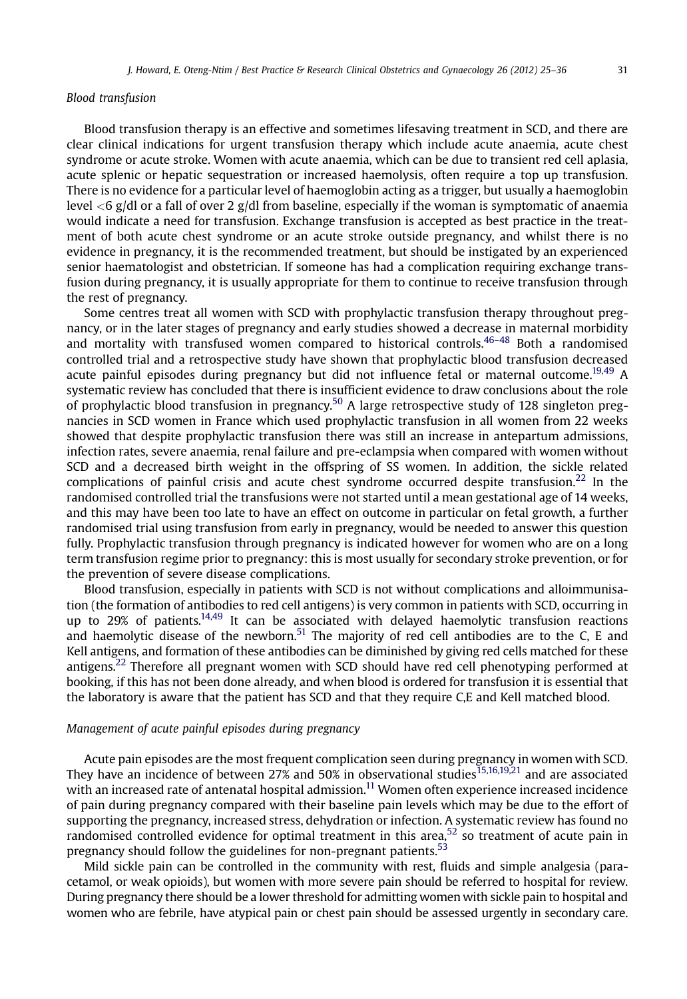# Blood transfusion

Blood transfusion therapy is an effective and sometimes lifesaving treatment in SCD, and there are clear clinical indications for urgent transfusion therapy which include acute anaemia, acute chest syndrome or acute stroke. Women with acute anaemia, which can be due to transient red cell aplasia, acute splenic or hepatic sequestration or increased haemolysis, often require a top up transfusion. There is no evidence for a particular level of haemoglobin acting as a trigger, but usually a haemoglobin level <6 g/dl or a fall of over 2 g/dl from baseline, especially if the woman is symptomatic of anaemia would indicate a need for transfusion. Exchange transfusion is accepted as best practice in the treatment of both acute chest syndrome or an acute stroke outside pregnancy, and whilst there is no evidence in pregnancy, it is the recommended treatment, but should be instigated by an experienced senior haematologist and obstetrician. If someone has had a complication requiring exchange transfusion during pregnancy, it is usually appropriate for them to continue to receive transfusion through the rest of pregnancy.

Some centres treat all women with SCD with prophylactic transfusion therapy throughout pregnancy, or in the later stages of pregnancy and early studies showed a decrease in maternal morbidity and mortality with transfused women compared to historical controls.<sup>46-[48](#page-11-0)</sup> Both a randomised controlled trial and a retrospective study have shown that prophylactic blood transfusion decreased acute painful episodes during pregnancy but did not influence fetal or maternal outcome.<sup>[19,49](#page-10-0)</sup> A systematic review has concluded that there is insufficient evidence to draw conclusions about the role of prophylactic blood transfusion in pregnancy.<sup>50</sup> A large retrospective study of 128 singleton pregnancies in SCD women in France which used prophylactic transfusion in all women from 22 weeks showed that despite prophylactic transfusion there was still an increase in antepartum admissions, infection rates, severe anaemia, renal failure and pre-eclampsia when compared with women without SCD and a decreased birth weight in the offspring of SS women. In addition, the sickle related complications of painful crisis and acute chest syndrome occurred despite transfusion.<sup>[22](#page-10-0)</sup> In the randomised controlled trial the transfusions were not started until a mean gestational age of 14 weeks, and this may have been too late to have an effect on outcome in particular on fetal growth, a further randomised trial using transfusion from early in pregnancy, would be needed to answer this question fully. Prophylactic transfusion through pregnancy is indicated however for women who are on a long term transfusion regime prior to pregnancy: this is most usually for secondary stroke prevention, or for the prevention of severe disease complications.

Blood transfusion, especially in patients with SCD is not without complications and alloimmunisation (the formation of antibodies to red cell antigens) is very common in patients with SCD, occurring in up to 29% of patients.<sup>14,49</sup> It can be associated with delayed haemolytic transfusion reactions and haemolytic disease of the newborn.<sup>51</sup> The majority of red cell antibodies are to the C, E and Kell antigens, and formation of these antibodies can be diminished by giving red cells matched for these antigens.<sup>[22](#page-10-0)</sup> Therefore all pregnant women with SCD should have red cell phenotyping performed at booking, if this has not been done already, and when blood is ordered for transfusion it is essential that the laboratory is aware that the patient has SCD and that they require C,E and Kell matched blood.

# Management of acute painful episodes during pregnancy

Acute pain episodes are the most frequent complication seen during pregnancy in women with SCD. They have an incidence of between  $27\%$  and  $50\%$  in observational studies<sup>[15,16,19,21](#page-10-0)</sup> and are associated with an increased rate of antenatal hospital admission.<sup>[11](#page-10-0)</sup> Women often experience increased incidence of pain during pregnancy compared with their baseline pain levels which may be due to the effort of supporting the pregnancy, increased stress, dehydration or infection. A systematic review has found no randomised controlled evidence for optimal treatment in this area, $52$  so treatment of acute pain in pregnancy should follow the guidelines for non-pregnant patients.<sup>53</sup>

Mild sickle pain can be controlled in the community with rest, fluids and simple analgesia (paracetamol, or weak opioids), but women with more severe pain should be referred to hospital for review. During pregnancy there should be a lower threshold for admitting women with sickle pain to hospital and women who are febrile, have atypical pain or chest pain should be assessed urgently in secondary care.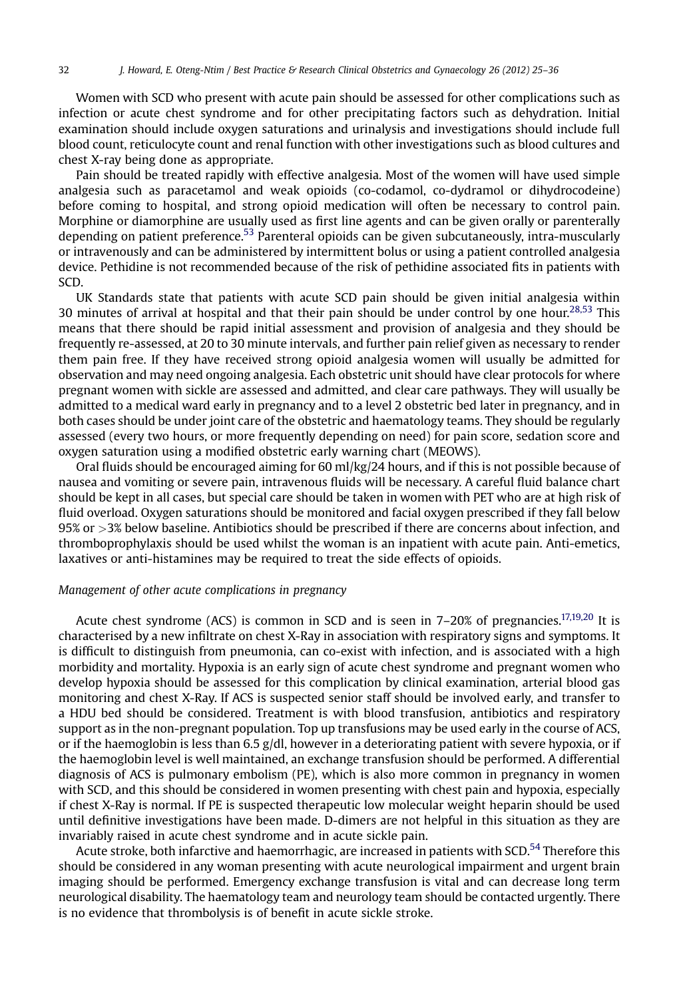Women with SCD who present with acute pain should be assessed for other complications such as infection or acute chest syndrome and for other precipitating factors such as dehydration. Initial examination should include oxygen saturations and urinalysis and investigations should include full blood count, reticulocyte count and renal function with other investigations such as blood cultures and chest X-ray being done as appropriate.

Pain should be treated rapidly with effective analgesia. Most of the women will have used simple analgesia such as paracetamol and weak opioids (co-codamol, co-dydramol or dihydrocodeine) before coming to hospital, and strong opioid medication will often be necessary to control pain. Morphine or diamorphine are usually used as first line agents and can be given orally or parenterally depending on patient preference.<sup>53</sup> Parenteral opioids can be given subcutaneously, intra-muscularly or intravenously and can be administered by intermittent bolus or using a patient controlled analgesia device. Pethidine is not recommended because of the risk of pethidine associated fits in patients with SCD.

UK Standards state that patients with acute SCD pain should be given initial analgesia within 30 minutes of arrival at hospital and that their pain should be under control by one hour.<sup>[28,53](#page-10-0)</sup> This means that there should be rapid initial assessment and provision of analgesia and they should be frequently re-assessed, at 20 to 30 minute intervals, and further pain relief given as necessary to render them pain free. If they have received strong opioid analgesia women will usually be admitted for observation and may need ongoing analgesia. Each obstetric unit should have clear protocols for where pregnant women with sickle are assessed and admitted, and clear care pathways. They will usually be admitted to a medical ward early in pregnancy and to a level 2 obstetric bed later in pregnancy, and in both cases should be under joint care of the obstetric and haematology teams. They should be regularly assessed (every two hours, or more frequently depending on need) for pain score, sedation score and oxygen saturation using a modified obstetric early warning chart (MEOWS).

Oral fluids should be encouraged aiming for 60 ml/kg/24 hours, and if this is not possible because of nausea and vomiting or severe pain, intravenous fluids will be necessary. A careful fluid balance chart should be kept in all cases, but special care should be taken in women with PET who are at high risk of fluid overload. Oxygen saturations should be monitored and facial oxygen prescribed if they fall below 95% or >3% below baseline. Antibiotics should be prescribed if there are concerns about infection, and thromboprophylaxis should be used whilst the woman is an inpatient with acute pain. Anti-emetics, laxatives or anti-histamines may be required to treat the side effects of opioids.

# Management of other acute complications in pregnancy

Acute chest syndrome (ACS) is common in SCD and is seen in  $7-20\%$  of pregnancies.<sup>[17,19,20](#page-10-0)</sup> It is characterised by a new infiltrate on chest X-Ray in association with respiratory signs and symptoms. It is difficult to distinguish from pneumonia, can co-exist with infection, and is associated with a high morbidity and mortality. Hypoxia is an early sign of acute chest syndrome and pregnant women who develop hypoxia should be assessed for this complication by clinical examination, arterial blood gas monitoring and chest X-Ray. If ACS is suspected senior staff should be involved early, and transfer to a HDU bed should be considered. Treatment is with blood transfusion, antibiotics and respiratory support as in the non-pregnant population. Top up transfusions may be used early in the course of ACS, or if the haemoglobin is less than 6.5 g/dl, however in a deteriorating patient with severe hypoxia, or if the haemoglobin level is well maintained, an exchange transfusion should be performed. A differential diagnosis of ACS is pulmonary embolism (PE), which is also more common in pregnancy in women with SCD, and this should be considered in women presenting with chest pain and hypoxia, especially if chest X-Ray is normal. If PE is suspected therapeutic low molecular weight heparin should be used until definitive investigations have been made. D-dimers are not helpful in this situation as they are invariably raised in acute chest syndrome and in acute sickle pain.

Acute stroke, both infarctive and haemorrhagic, are increased in patients with SCD.<sup>[54](#page-11-0)</sup> Therefore this should be considered in any woman presenting with acute neurological impairment and urgent brain imaging should be performed. Emergency exchange transfusion is vital and can decrease long term neurological disability. The haematology team and neurology team should be contacted urgently. There is no evidence that thrombolysis is of benefit in acute sickle stroke.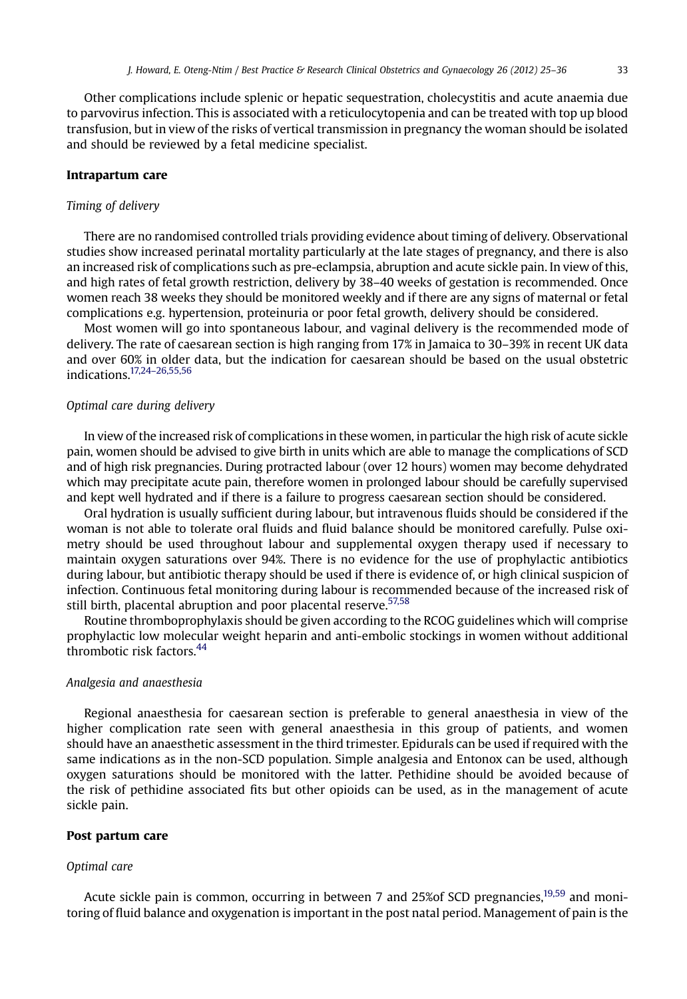Other complications include splenic or hepatic sequestration, cholecystitis and acute anaemia due to parvovirus infection. This is associated with a reticulocytopenia and can be treated with top up blood transfusion, but in view of the risks of vertical transmission in pregnancy the woman should be isolated and should be reviewed by a fetal medicine specialist.

#### Intrapartum care

#### Timing of delivery

There are no randomised controlled trials providing evidence about timing of delivery. Observational studies show increased perinatal mortality particularly at the late stages of pregnancy, and there is also an increased risk of complications such as pre-eclampsia, abruption and acute sickle pain. In view of this, and high rates of fetal growth restriction, delivery by 38–40 weeks of gestation is recommended. Once women reach 38 weeks they should be monitored weekly and if there are any signs of maternal or fetal complications e.g. hypertension, proteinuria or poor fetal growth, delivery should be considered.

Most women will go into spontaneous labour, and vaginal delivery is the recommended mode of delivery. The rate of caesarean section is high ranging from 17% in Jamaica to 30–39% in recent UK data and over 60% in older data, but the indication for caesarean should be based on the usual obstetric indications.17,24–[26,55,56](#page-10-0)

#### Optimal care during delivery

In view of the increased risk of complications in these women, in particular the high risk of acute sickle pain, women should be advised to give birth in units which are able to manage the complications of SCD and of high risk pregnancies. During protracted labour (over 12 hours) women may become dehydrated which may precipitate acute pain, therefore women in prolonged labour should be carefully supervised and kept well hydrated and if there is a failure to progress caesarean section should be considered.

Oral hydration is usually sufficient during labour, but intravenous fluids should be considered if the woman is not able to tolerate oral fluids and fluid balance should be monitored carefully. Pulse oximetry should be used throughout labour and supplemental oxygen therapy used if necessary to maintain oxygen saturations over 94%. There is no evidence for the use of prophylactic antibiotics during labour, but antibiotic therapy should be used if there is evidence of, or high clinical suspicion of infection. Continuous fetal monitoring during labour is recommended because of the increased risk of still birth, placental abruption and poor placental reserve.<sup>57,58</sup>

Routine thromboprophylaxis should be given according to the RCOG guidelines which will comprise prophylactic low molecular weight heparin and anti-embolic stockings in women without additional thrombotic risk factors.[44](#page-11-0)

# Analgesia and anaesthesia

Regional anaesthesia for caesarean section is preferable to general anaesthesia in view of the higher complication rate seen with general anaesthesia in this group of patients, and women should have an anaesthetic assessment in the third trimester. Epidurals can be used if required with the same indications as in the non-SCD population. Simple analgesia and Entonox can be used, although oxygen saturations should be monitored with the latter. Pethidine should be avoided because of the risk of pethidine associated fits but other opioids can be used, as in the management of acute sickle pain.

# Post partum care

# Optimal care

Acute sickle pain is common, occurring in between 7 and 25%of SCD pregnancies[,19,59](#page-10-0) and monitoring of fluid balance and oxygenation is important in the post natal period. Management of pain is the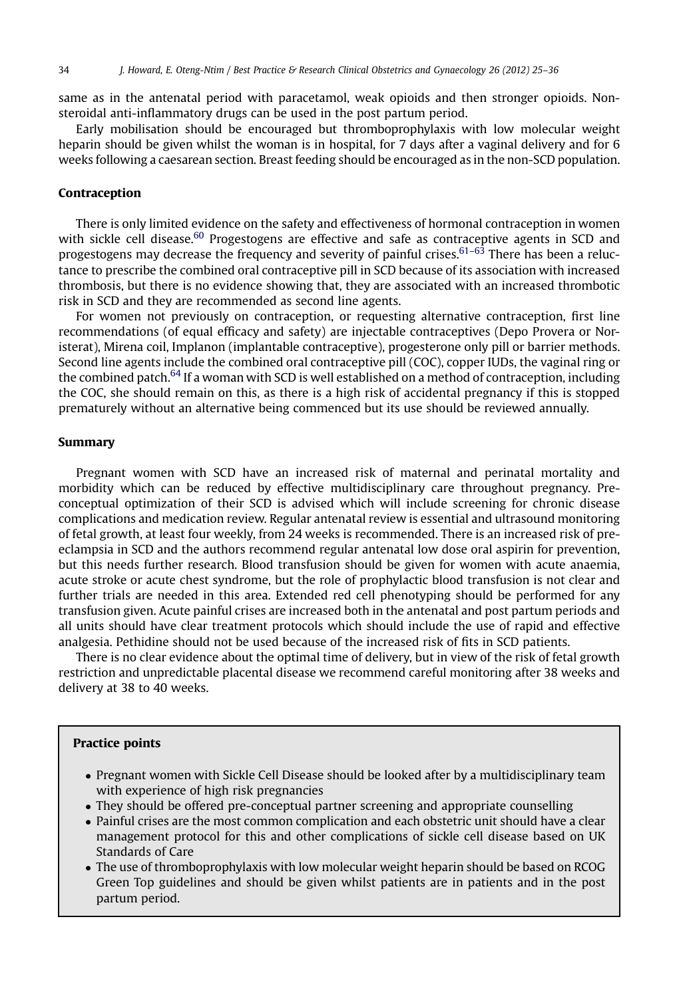same as in the antenatal period with paracetamol, weak opioids and then stronger opioids. Nonsteroidal anti-inflammatory drugs can be used in the post partum period.

Early mobilisation should be encouraged but thromboprophylaxis with low molecular weight heparin should be given whilst the woman is in hospital, for 7 days after a vaginal delivery and for 6 weeks following a caesarean section. Breast feeding should be encouraged as in the non-SCD population.

# Contraception

There is only limited evidence on the safety and effectiveness of hormonal contraception in women with sickle cell disease.<sup>[60](#page-11-0)</sup> Progestogens are effective and safe as contraceptive agents in SCD and progestogens may decrease the frequency and severity of painful crises.<sup>[61](#page-11-0)–63</sup> There has been a reluctance to prescribe the combined oral contraceptive pill in SCD because of its association with increased thrombosis, but there is no evidence showing that, they are associated with an increased thrombotic risk in SCD and they are recommended as second line agents.

For women not previously on contraception, or requesting alternative contraception, first line recommendations (of equal efficacy and safety) are injectable contraceptives (Depo Provera or Noristerat), Mirena coil, Implanon (implantable contraceptive), progesterone only pill or barrier methods. Second line agents include the combined oral contraceptive pill (COC), copper IUDs, the vaginal ring or the combined patch.<sup>64</sup> If a woman with SCD is well established on a method of contraception, including the COC, she should remain on this, as there is a high risk of accidental pregnancy if this is stopped prematurely without an alternative being commenced but its use should be reviewed annually.

#### Summary

Pregnant women with SCD have an increased risk of maternal and perinatal mortality and morbidity which can be reduced by effective multidisciplinary care throughout pregnancy. Preconceptual optimization of their SCD is advised which will include screening for chronic disease complications and medication review. Regular antenatal review is essential and ultrasound monitoring of fetal growth, at least four weekly, from 24 weeks is recommended. There is an increased risk of preeclampsia in SCD and the authors recommend regular antenatal low dose oral aspirin for prevention, but this needs further research. Blood transfusion should be given for women with acute anaemia, acute stroke or acute chest syndrome, but the role of prophylactic blood transfusion is not clear and further trials are needed in this area. Extended red cell phenotyping should be performed for any transfusion given. Acute painful crises are increased both in the antenatal and post partum periods and all units should have clear treatment protocols which should include the use of rapid and effective analgesia. Pethidine should not be used because of the increased risk of fits in SCD patients.

There is no clear evidence about the optimal time of delivery, but in view of the risk of fetal growth restriction and unpredictable placental disease we recommend careful monitoring after 38 weeks and delivery at 38 to 40 weeks.

# Practice points

- Pregnant women with Sickle Cell Disease should be looked after by a multidisciplinary team with experience of high risk pregnancies
- They should be offered pre-conceptual partner screening and appropriate counselling
- Painful crises are the most common complication and each obstetric unit should have a clear management protocol for this and other complications of sickle cell disease based on UK Standards of Care
- The use of thromboprophylaxis with low molecular weight heparin should be based on RCOG Green Top guidelines and should be given whilst patients are in patients and in the post partum period.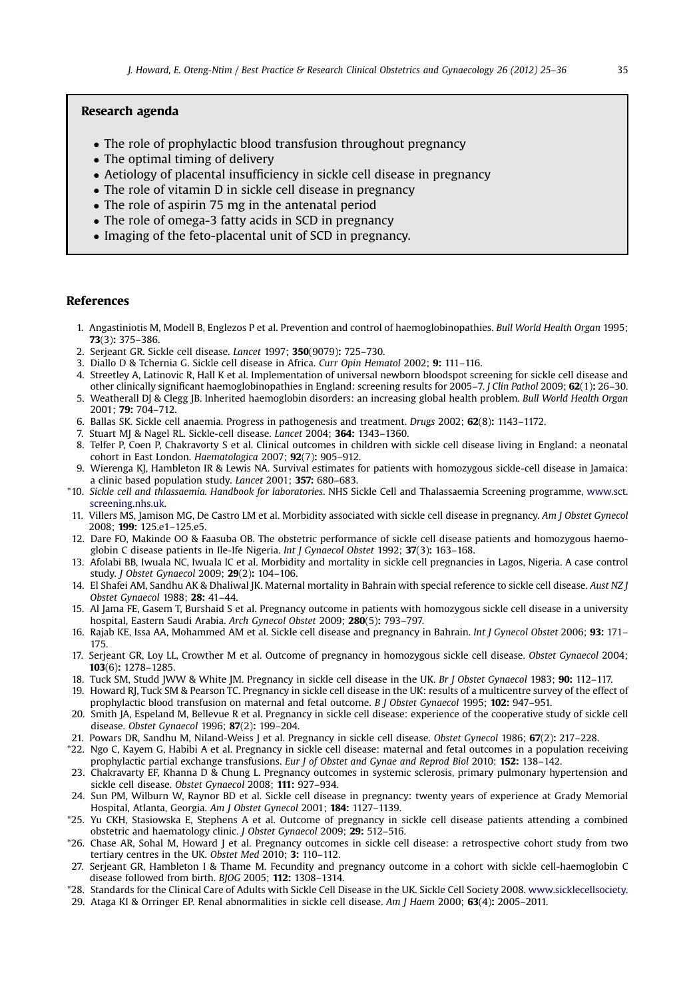### <span id="page-10-0"></span>Research agenda

- The role of prophylactic blood transfusion throughout pregnancy
- The optimal timing of delivery
- Aetiology of placental insufficiency in sickle cell disease in pregnancy
- The role of vitamin D in sickle cell disease in pregnancy
- The role of aspirin 75 mg in the antenatal period
- The role of omega-3 fatty acids in SCD in pregnancy
- Imaging of the feto-placental unit of SCD in pregnancy.

#### References

- 1. Angastiniotis M, Modell B, Englezos P et al. Prevention and control of haemoglobinopathies. Bull World Health Organ 1995; 73(3): 375–386.
- 2. Serjeant GR. Sickle cell disease. Lancet 1997; 350(9079): 725–730.
- 3. Diallo D & Tchernia G. Sickle cell disease in Africa. Curr Opin Hematol 2002; 9: 111–116.
- 4. Streetley A, Latinovic R, Hall K et al. Implementation of universal newborn bloodspot screening for sickle cell disease and other clinically significant haemoglobinopathies in England: screening results for 2005–7. J Clin Pathol 2009; 62(1): 26–30.
- 5. Weatherall DJ & Clegg JB. Inherited haemoglobin disorders: an increasing global health problem. Bull World Health Organ 2001; 79: 704–712.
- 6. Ballas SK. Sickle cell anaemia. Progress in pathogenesis and treatment. Drugs 2002; 62(8): 1143–1172.
- 7. Stuart MJ & Nagel RL. Sickle-cell disease. Lancet 2004; 364: 1343–1360.
- 8. Telfer P, Coen P, Chakravorty S et al. Clinical outcomes in children with sickle cell disease living in England: a neonatal cohort in East London. Haematologica 2007; 92(7): 905–912.
- 9. Wierenga KJ, Hambleton IR & Lewis NA. Survival estimates for patients with homozygous sickle-cell disease in Jamaica: a clinic based population study. Lancet 2001; 357: 680–683.
- \*10. Sickle cell and thlassaemia. Handbook for laboratories. NHS Sickle Cell and Thalassaemia Screening programme, [www.sct.](http://www.sct.screening.nhs.uk) [screening.nhs.uk.](http://www.sct.screening.nhs.uk)
- 11. Villers MS, Jamison MG, De Castro LM et al. Morbidity associated with sickle cell disease in pregnancy. Am J Obstet Gynecol 2008; 199: 125.e1–125.e5.
- 12. Dare FO, Makinde OO & Faasuba OB. The obstetric performance of sickle cell disease patients and homozygous haemoglobin C disease patients in Ile-Ife Nigeria. Int J Gynaecol Obstet 1992; 37(3): 163-168.
- 13. Afolabi BB, Iwuala NC, Iwuala IC et al. Morbidity and mortality in sickle cell pregnancies in Lagos, Nigeria. A case control study. J Obstet Gynaecol 2009; 29(2): 104–106.
- 14. El Shafei AM, Sandhu AK & Dhaliwal JK. Maternal mortality in Bahrain with special reference to sickle cell disease. Aust NZ J Obstet Gynaecol 1988; 28: 41–44.
- 15. Al Jama FE, Gasem T, Burshaid S et al. Pregnancy outcome in patients with homozygous sickle cell disease in a university hospital, Eastern Saudi Arabia. Arch Gynecol Obstet 2009; 280(5): 793-797.
- 16. Rajab KE, Issa AA, Mohammed AM et al. Sickle cell disease and pregnancy in Bahrain. Int J Gynecol Obstet 2006; 93: 171– 175.
- 17. Serjeant GR, Loy LL, Crowther M et al. Outcome of pregnancy in homozygous sickle cell disease. Obstet Gynaecol 2004; 103(6): 1278–1285.
- 18. Tuck SM, Studd JWW & White JM. Pregnancy in sickle cell disease in the UK. Br J Obstet Gynaecol 1983; 90: 112-117.
- 19. Howard RJ, Tuck SM & Pearson TC. Pregnancy in sickle cell disease in the UK: results of a multicentre survey of the effect of prophylactic blood transfusion on maternal and fetal outcome. B J Obstet Gynaecol 1995; 102: 947–951.
- 20. Smith JA, Espeland M, Bellevue R et al. Pregnancy in sickle cell disease: experience of the cooperative study of sickle cell disease. Obstet Gynaecol 1996; 87(2): 199–204.
- 21. Powars DR, Sandhu M, Niland-Weiss J et al. Pregnancy in sickle cell disease. Obstet Gynecol 1986; 67(2): 217–228.
- \*22. Ngo C, Kayem G, Habibi A et al. Pregnancy in sickle cell disease: maternal and fetal outcomes in a population receiving prophylactic partial exchange transfusions. Eur J of Obstet and Gynae and Reprod Biol 2010; 152: 138–142.
- 23. Chakravarty EF, Khanna D & Chung L. Pregnancy outcomes in systemic sclerosis, primary pulmonary hypertension and sickle cell disease. Obstet Gynaecol 2008; 111: 927–934.
- 24. Sun PM, Wilburn W, Raynor BD et al. Sickle cell disease in pregnancy: twenty years of experience at Grady Memorial Hospital, Atlanta, Georgia. Am J Obstet Gynecol 2001; 184: 1127–1139.
- \*25. Yu CKH, Stasiowska E, Stephens A et al. Outcome of pregnancy in sickle cell disease patients attending a combined obstetric and haematology clinic. J Obstet Gynaecol 2009; 29: 512-516.
- \*26. Chase AR, Sohal M, Howard J et al. Pregnancy outcomes in sickle cell disease: a retrospective cohort study from two tertiary centres in the UK. Obstet Med 2010; 3: 110–112.
- 27. Serjeant GR, Hambleton I & Thame M. Fecundity and pregnancy outcome in a cohort with sickle cell-haemoglobin C disease followed from birth. BJOG 2005; 112: 1308–1314.
- \*28. Standards for the Clinical Care of Adults with Sickle Cell Disease in the UK. Sickle Cell Society 2008. [www.sicklecellsociety.](http://www.sicklecellsociety)
- 29. Ataga KI & Orringer EP. Renal abnormalities in sickle cell disease. Am J Haem 2000; 63(4): 2005–2011.